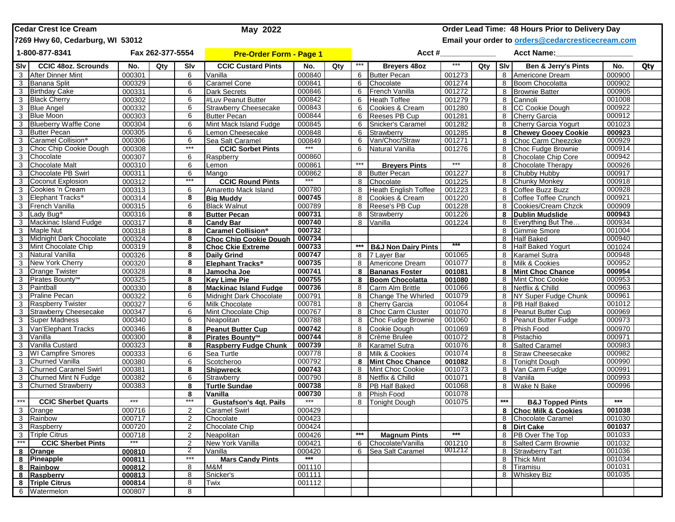| <b>ICedar Crest Ice Cream</b><br>May 2022 |                                  |        |                                |       |                               |        |                                                   |                   | Order Lead Time: 48 Hours Prior to Delivery Day |                   |         |       |                             |                   |     |  |
|-------------------------------------------|----------------------------------|--------|--------------------------------|-------|-------------------------------|--------|---------------------------------------------------|-------------------|-------------------------------------------------|-------------------|---------|-------|-----------------------------|-------------------|-----|--|
|                                           | 7269 Hwy 60, Cedarburg, WI 53012 |        |                                |       |                               |        | Email your order to orders@cedarcresticecream.com |                   |                                                 |                   |         |       |                             |                   |     |  |
| 1-800-877-8341<br>Fax 262-377-5554        |                                  |        | <b>Pre-Order Form - Page 1</b> |       |                               | Acct # |                                                   |                   |                                                 | <b>Acct Name:</b> |         |       |                             |                   |     |  |
| l Slv l                                   | <b>CCIC 480z. Scrounds</b>       | No.    | Qty                            | Slv   | <b>CCIC Custard Pints</b>     | No.    | Qty                                               | $***$             | Breyers 48oz                                    | $***$             | Qty Slv |       | Ben & Jerry's Pints         | No.               | Qty |  |
| 3                                         | <b>After Dinner Mint</b>         | 000301 |                                | 6     | Vanilla                       | 000840 |                                                   | 6                 | <b>Butter Pecan</b>                             | 001273            |         | 8     | Americone Dream             | 000900            |     |  |
| 3                                         | Banana Split                     | 000329 |                                | 6     | <b>Caramel Cone</b>           | 000841 |                                                   | 6                 | Chocolate                                       | 001274            |         | 8     | Boom Chocolatta             | 000902            |     |  |
| 3                                         | <b>Birthday Cake</b>             | 000331 |                                | 6     | <b>Dark Secrets</b>           | 000846 |                                                   | 6                 | French Vanilla                                  | 001272            |         | 8     | <b>Brownie Batter</b>       | 000905            |     |  |
| 3                                         | <b>Black Cherry</b>              | 000302 |                                | 6     | #Luv Peanut Butter            | 000842 |                                                   | 6                 | <b>Heath Toffee</b>                             | 001279            |         | 8     | Cannoli                     | 001008            |     |  |
| 3                                         | <b>Blue Angel</b>                | 000332 |                                | 6     | <b>Strawberry Cheesecake</b>  | 000843 |                                                   | 6                 | Cookies & Cream                                 | 001280            |         | 8     | CC Cookie Dough             | 000922            |     |  |
| 3                                         | <b>Blue Moon</b>                 | 000303 |                                | 6     | <b>Butter Pecan</b>           | 000844 |                                                   | 6                 | Reeses PB Cup                                   | 001281            |         | 8     | <b>Cherry Garcia</b>        | 000912            |     |  |
| 3                                         | <b>Blueberry Waffle Cone</b>     | 000304 |                                | 6     | Mint Mack Island Fudge        | 000845 |                                                   | 6                 | Snicker's Caramel                               | 001282            |         | 8     | Cherry Garcia Yogurt        | 001023            |     |  |
| 3                                         | <b>Butter Pecan</b>              | 000305 |                                | 6     | emon Cheesecake               | 000848 |                                                   | 6                 | Strawberry                                      | 001285            |         | 8     | <b>Chewey Gooey Cookie</b>  | 000923            |     |  |
| 3                                         | Caramel Collision <sup>®</sup>   | 000306 |                                | 6     | Sea Salt Caramel              | 000849 |                                                   |                   | Van/Choc/Straw                                  | 001271            |         | 8     | Choc Carm Cheezcke          | 000929            |     |  |
| 3                                         | Choc Chip Cookie Dough           | 000308 |                                | ***   | <b>CCIC Sorbet Pints</b>      |        |                                                   | 6                 | Natural Vanilla                                 | 001276            |         | 8     | Choc Fudge Brownie          | 000914            |     |  |
| 3                                         | Chocolate                        | 000307 |                                | 6     | Raspberry                     | 000860 |                                                   |                   |                                                 |                   |         | 8     | Chocolate Chip Core         | 000942            |     |  |
| 3                                         | <b>Chocolate Malt</b>            | 000310 |                                | 6     | Lemon                         | 000861 |                                                   | $***$             | <b>Breyers Pints</b>                            | $***$             |         | 8     | Chocolate Therapy           | 000926            |     |  |
| 3                                         | Chocolate PB Swirl               | 000311 |                                | 6     | Mango                         | 000862 |                                                   |                   | 8 Butter Pecan                                  | 001227            |         | 8     | Chubby Hubby                | 000917            |     |  |
| 3                                         | Coconut Explosion                | 000312 |                                | ***   | <b>CCIC Round Pints</b>       | $***$  |                                                   | 8                 | Chocolate                                       | 001225            |         | 8     | <b>Chunky Monkey</b>        | 000918            |     |  |
| 3                                         | Cookies 'n Cream                 | 000313 |                                | 6     | Amaretto Mack Island          | 000780 |                                                   | 8                 | Heath English Toffee                            | 001223            |         | 8     | Coffee Buzz Buzz            | 000928            |     |  |
| 3                                         | Elephant Tracks <sup>®</sup>     | 000314 |                                | 8     | <b>Big Muddy</b>              | 000745 |                                                   | 8                 | Cookies & Cream                                 | 001220            |         | 8     | Coffee Toffee Crunch        | 000921            |     |  |
| 3                                         | French Vanilla                   | 000315 |                                | 6     | <b>Black Walnut</b>           | 000789 |                                                   | 8                 | Reese's PB Cup                                  | 001228            |         | 8     | Cookies/Cream Chzck         | 000909            |     |  |
| 3                                         | Lady Bug <sup>®</sup>            | 000316 |                                | 8     | <b>Butter Pecan</b>           | 000731 |                                                   | 8                 | Strawberry                                      | 001226            |         | 8     | <b>Dublin Mudslide</b>      | 000943            |     |  |
| 3                                         | Mackinac Island Fudge            | 000317 |                                | 8     | <b>Candy Bar</b>              | 000740 |                                                   | 8                 | Vanilla                                         | 001224            |         | 8     | Everything But The          | 000934            |     |  |
| 3                                         | <b>Maple Nut</b>                 | 000318 |                                | 8     | <b>Caramel Collision®</b>     | 000732 |                                                   |                   |                                                 |                   |         | 8     | <b>Gimmie Smore</b>         | 001004            |     |  |
|                                           | 3 Midnight Dark Chocolate        | 000324 |                                | 8     | <b>Choc Chip Cookie Dough</b> | 000734 |                                                   |                   |                                                 |                   |         | 8     | <b>Half Baked</b>           | 000940            |     |  |
| 3                                         | Mint Chocolate Chip              | 000319 |                                | 8     | <b>Choc Ckie Extreme</b>      | 000733 |                                                   |                   | <b>B&amp;J Non Dairy Pints</b>                  |                   |         | 8     | <b>Half Baked Yogurt</b>    | 001024            |     |  |
| 3 I                                       | <b>Natural Vanilla</b>           | 000326 |                                | 8     | <b>Daily Grind</b>            | 000747 |                                                   | 8                 | 7 Layer Bar                                     | 001065            |         | 8     | <b>Karamel Sutra</b>        | 000948            |     |  |
| 3                                         | New York Cherry                  | 000320 |                                | 8     | Elephant Tracks <sup>®</sup>  | 000735 |                                                   | 8                 | Americone Dream                                 | 001077            |         | 8     | Milk & Cookies              | 000952            |     |  |
| 3                                         | <b>Orange Twister</b>            | 000328 |                                | 8     | Jamocha Joe                   | 000741 |                                                   |                   | <b>Bananas Foster</b>                           | 001081            |         | 8     | <b>Mint Choc Chance</b>     | 000954            |     |  |
| 3                                         | Pirates Bounty <sup>™</sup>      | 000325 |                                | 8     | <b>Key Lime Pie</b>           | 000755 |                                                   | 8                 | <b>Boom Chocolatta</b>                          | 001080            |         | 8     | Mint Choc Cookie            | 000953            |     |  |
| 3                                         | Paintball                        | 000330 |                                | 8     | <b>Mackinac Island Fudge</b>  | 000736 |                                                   | 8                 | Carm Alm Brittle                                | 001066            |         | 8     | Netflix & Chilld            | 000963            |     |  |
| 3                                         | <b>Praline Pecan</b>             | 000322 |                                | 6     | Midnight Dark Chocolate       | 000791 |                                                   | 8                 | Change The Whirled                              | 001079            |         | 8     | NY Super Fudge Chunk        | 000961            |     |  |
| 3                                         | <b>Raspberry Twister</b>         | 000327 |                                | 6     | <b>Milk Chocolate</b>         | 000781 |                                                   | 8                 | <b>Cherry Garcia</b>                            | 001064            |         | 8     | <b>PB</b> Half Baked        | 001012            |     |  |
| 3                                         | <b>Strawberry Cheesecake</b>     | 000347 |                                | 6     | Mint Chocolate Chip           | 000767 |                                                   | 8                 | <b>Choc Carm Cluster</b>                        | 001070            |         | 8     | Peanut Butter Cup           | 000969            |     |  |
| 3                                         | <b>Super Madness</b>             | 000340 |                                | 6     | Neapolitan                    | 000788 |                                                   | 8                 | Choc Fudge Brownie                              | 001060            |         | 8     | Peanut Butter Fudge         | 000973            |     |  |
| 3                                         | Van'Elephant Tracks              | 000346 |                                | 8     | <b>Peanut Butter Cup</b>      | 000742 |                                                   | 8                 | Cookie Dough                                    | 001069            |         | 8     | <b>Phish Food</b>           | 000970            |     |  |
| 3                                         | Vanilla                          | 000300 |                                | 8     | Pirates Bounty <sup>™</sup>   | 000744 |                                                   | 8                 | Crème Brulee                                    | 001072            |         | 8     | Pistachio                   | 000971            |     |  |
| 3                                         | Vanilla Custard                  | 000323 |                                | 8     | <b>Raspberry Fudge Chunk</b>  | 000739 |                                                   | 8                 | <b>Karamel Sutra</b>                            | 001076            |         | 8     | <b>Salted Caramel</b>       | 000983            |     |  |
| 3                                         | <b>WI Campfire Smores</b>        | 000333 |                                | 6     | Sea Turtle                    | 000778 |                                                   | 8                 | Milk & Cookies                                  | 001074            |         | 8     | <b>Straw Cheesecake</b>     | 000982            |     |  |
| 3                                         | Churned Vanilla                  | 000380 |                                | 6     | Scotcheroo                    | 000792 |                                                   | 8                 | <b>Mint Choc Chance</b>                         | 001082            |         | 8     | <b>Tonight Dough</b>        | 000990            |     |  |
| 3                                         | <b>Churned Caramel Swirl</b>     | 000381 |                                | 8     | <b>Shipwreck</b>              | 000743 |                                                   | 8                 | Mint Choc Cookie                                | 001073            |         | 8     | Van Carm Fudge              | 000991            |     |  |
| 3                                         | <b>Churned Mint N Fudge</b>      | 000382 |                                | 6     | Strawberry                    | 000790 |                                                   | 8                 | Netflix & Chilld                                | 001071            |         | 8     | Vaniila                     | 000993            |     |  |
| 3                                         | <b>Churned Strawberry</b>        | 000383 |                                | 8     | <b>Turtle Sundae</b>          | 000738 |                                                   | 8                 | <b>PB Half Baked</b>                            | 001068            |         | 8     | <b>Wake N Bake</b>          | 000996            |     |  |
|                                           |                                  |        |                                | 8     | Vanilla                       | 000730 |                                                   | 8                 | Phish Food                                      | 001078            |         |       |                             |                   |     |  |
| $\star\star\star$                         | <b>CCIC Sherbet Quarts</b>       | $***$  |                                | ***   | <b>Gustafson's 4qt. Pails</b> | $***$  |                                                   | 8                 | <b>Tonight Dough</b>                            | 001075            |         | $***$ | <b>B&amp;J Topped Pints</b> | $\star\star\star$ |     |  |
|                                           | 3 Orange                         | 000716 |                                |       | Caramel Swirl                 | 000429 |                                                   |                   |                                                 |                   |         |       | 8 Choc Milk & Cookies       | 001038            |     |  |
|                                           | 3 Rainbow                        | 000717 |                                | 2     | Chocolate                     | 000423 |                                                   |                   |                                                 |                   |         |       | 8 Chocolate Caramel         | 001030            |     |  |
|                                           | 3 Raspberry                      | 000720 |                                | 2     | Chocolate Chip                | 000424 |                                                   |                   |                                                 |                   |         |       | 8 Dirt Cake                 | 001037            |     |  |
|                                           | 3 Triple Citrus                  | 000718 |                                | 2     | Neapolitan                    | 000426 |                                                   | $\star\star\star$ | <b>Magnum Pints</b>                             | $***$             |         |       | 8 PB Over The Top           | 001033            |     |  |
| $***$                                     | <b>CCIC Sherbet Pints</b>        | $***$  |                                | 2     | New York Vanilla              | 000421 |                                                   | 6                 | Chocolate/Vanilla                               | 001210            |         |       | 8 Salted Carm Brownie       | 001032            |     |  |
|                                           | 8 Orange                         | 000810 |                                | 2     | Vanilla                       | 000420 |                                                   |                   | 6 Sea Salt Caramel                              | 001212            |         | 8     | <b>Strawberry Tart</b>      | 001036            |     |  |
|                                           | 8 Pineapple                      | 000811 |                                | $***$ | <b>Mars Candy Pints</b>       | $***$  |                                                   |                   |                                                 |                   |         |       | 8 Thick Mint                | 001034            |     |  |
|                                           | 8 Rainbow                        | 000812 |                                | 8     | M&M                           | 001110 |                                                   |                   |                                                 |                   |         |       | 8 Tiramisu                  | 001031            |     |  |
|                                           | 8 Raspberry                      | 000813 |                                | 8     | Snicker's                     | 001111 |                                                   |                   |                                                 |                   |         |       | 8 Whiskey Biz               | 001035            |     |  |
|                                           | 8 Triple Citrus                  | 000814 |                                | 8     | Twix                          | 001112 |                                                   |                   |                                                 |                   |         |       |                             |                   |     |  |
|                                           | 6 Watermelon                     | 000807 |                                | 8     |                               |        |                                                   |                   |                                                 |                   |         |       |                             |                   |     |  |
|                                           |                                  |        |                                |       |                               |        |                                                   |                   |                                                 |                   |         |       |                             |                   |     |  |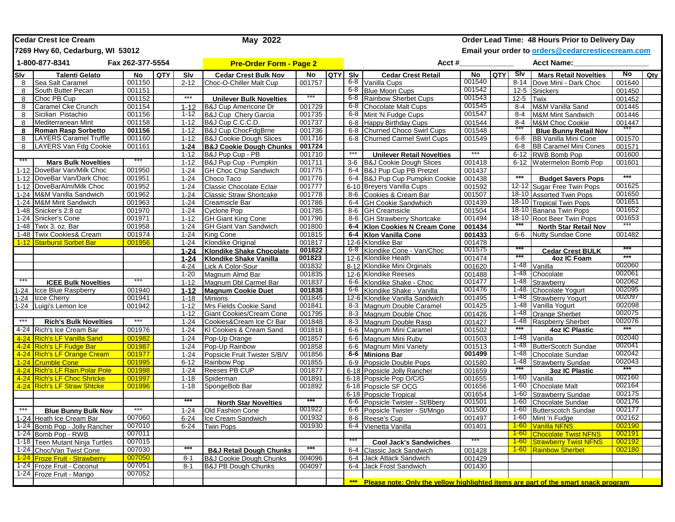|                                    | <b>Cedar Crest Ice Cream</b>                                |                  |     | May 2022                       | Order Lead Time: 48 Hours Prior to Delivery Day        |                  |            |         |                                                                                    |                   |         |                                                   |                                                             |                  |     |
|------------------------------------|-------------------------------------------------------------|------------------|-----|--------------------------------|--------------------------------------------------------|------------------|------------|---------|------------------------------------------------------------------------------------|-------------------|---------|---------------------------------------------------|-------------------------------------------------------------|------------------|-----|
|                                    | 7269 Hwy 60, Cedarburg, WI 53012                            |                  |     |                                |                                                        |                  |            |         |                                                                                    |                   |         | Email your order to orders@cedarcresticecream.com |                                                             |                  |     |
| 1-800-877-8341<br>Fax 262-377-5554 |                                                             |                  |     | <b>Pre-Order Form - Page 2</b> |                                                        |                  |            | Acct #  |                                                                                    | <b>Acct Name:</b> |         |                                                   |                                                             |                  |     |
| Slv                                | <b>Talenti Gelato</b>                                       | <b>No</b>        | QTY | Slv                            | <b>Cedar Crest Bulk Nov</b>                            | No               | <b>QTY</b> | Slv     | <b>Cedar Crest Retail</b>                                                          | No                | QTY SIV |                                                   | <b>Mars Retail Novelties</b>                                | No               | Qty |
| 8                                  | Sea Salt Caramel                                            | 001150           |     | $2 - 12$                       | Choc-O-Chiller Malt Cup                                | 001757           |            | 6-8     | Vanilla Cups                                                                       | 001540            |         | $8 - 14$                                          | Dove Mini - Dark Choc                                       | 001640           |     |
| 8                                  | South Butter Pecan                                          | 001151           |     |                                |                                                        |                  |            |         | 6-8 Blue Moon Cups                                                                 | 001542            |         | $12 - 5$                                          | Snickers                                                    | 001450           |     |
| 8                                  | Choc PB Cup                                                 | 001152           |     | $***$                          | <b>Unilever Bulk Novelties</b>                         |                  |            | 6-8     | <b>Rainbow Sherbet Cups</b>                                                        | 001543            |         | $12 - 5$                                          | Twix                                                        | 001452           |     |
| 8                                  | Caramel Cke Crunch                                          | 001154           |     | $1 - 12$                       | <b>B&amp;J Cup Americone Dr</b>                        | 001729           |            | 6-8     | Chocolate Malt Cups                                                                | 001545            |         | 8-4                                               | M&M Vanilla Sand                                            | 001445           |     |
| 8                                  | Sicilian Pistachio                                          | 001156           |     | $1 - 12$                       | B&J Cup Chery Garcia                                   | 001735           |            | 6-8     | Mint 'N Fudge Cups                                                                 | 001547            |         | $8 - 4$                                           | <b>M&amp;M Mint Sandwich</b>                                | 001446           |     |
| 8                                  | Mediterranean Mint                                          | 001158           |     | $1 - 12$                       | B&J Cup C.C.C.D.                                       | 001737           |            | $6 - 8$ | Happy Birthday Cups                                                                | 001544            |         | $8 - 4$                                           | M&M Choc Cookie                                             | 001447           |     |
| 8                                  | <b>Roman Rasp Sorbetto</b><br><b>LAYERS Caramel Truffle</b> | 001156           |     | $1 - 12$                       | <b>B&amp;J Cup ChocFdgBrne</b>                         | 001736           |            | $6 - 8$ | Churned Choco Swirl Cups                                                           | 001548            |         |                                                   | <b>Blue Bunny Retail Nov</b>                                |                  |     |
| 8                                  | LAYERS Van Fdg Cookie                                       | 001160           |     | $1 - 12$<br>$1 - 24$           | <b>B&amp;J Cookie Dough Slices</b>                     | 001716<br>001724 |            | $6 - 8$ | <b>Churned Carmel Swirl Cups</b>                                                   | 001549            |         | $6 - 8$<br>$6-8$                                  | <b>BB Vanilla Mini Cone</b><br><b>BB Caramel Mini Cones</b> | 001570           |     |
| 8                                  |                                                             | 001161           |     | $1 - 12$                       | <b>B&amp;J Cookie Dough Chunks</b><br>B&J Pup Cup - PB | 001710           |            | $***$   | <b>Unilever Retail Novelties</b>                                                   | $***$             |         | 6-12                                              | <b>RWB Bomb Pop</b>                                         | 001571<br>001600 |     |
|                                    | <b>Mars Bulk Novelties</b>                                  |                  |     | $1 - 12$                       | B&J Pup Cup - Pumpkin                                  | 001711           |            |         | 3-6 B&J Cookie Dough Slices                                                        | 001418            |         | $6 - 12$                                          | Watermelon Bomb Pop                                         | 001601           |     |
| $1 - 12$                           | DoveBar Van/Milk Choc                                       | 001950           |     | $1 - 24$                       | <b>GH Choc Chip Sandwich</b>                           | 001775           |            |         | 6-4 B&J Pup Cup PB Pretzel                                                         | 001437            |         |                                                   |                                                             |                  |     |
|                                    | 1-12 DoveBar Van/Dark Choc                                  | 001951           |     | $1 - 24$                       | Choco Taco                                             | 001776           |            |         | 6-4 B&J Pup Cup Pumpkin Cookie                                                     | 001438            |         | $***$                                             | <b>Budget \$avers Pops</b>                                  | ***              |     |
|                                    | 1-12 DoveBarAlm/Milk Choc                                   | 001952           |     | $1 - 24$                       | Classic Chocolate Eclair                               | 001777           |            |         | 6-10 Breyers Vanilla Cups                                                          | 001592            |         |                                                   | 12-12 Sugar Free Twin Pops                                  | 001625           |     |
| $1 - 24$                           | M&M Vanilla Sandwich                                        | 001962           |     | $1 - 24$                       | <b>Classic Straw Shortcake</b>                         | 001778           |            | 8-6     | Cookies & Cream Bar                                                                | 001507            |         |                                                   | 18-10 Assorted Twin Pops                                    | 001650           |     |
| $1 - 24$                           | M&M Mint Sandwich                                           | 001963           |     | $1 - 24$                       | Creamsicle Bar                                         | 001786           |            | 6-4     | <b>GH Cookie Sandwhich</b>                                                         | 001439            |         |                                                   | 18-10 Tropical Twin Pops                                    | 001651           |     |
| 1-48                               | Snicker's 2.8 oz                                            | 001970           |     | $1 - 24$                       | <b>Cyclone Pop</b>                                     | 001785           |            | 8-6     | <b>GH Creamsicle</b>                                                               | 001504            |         |                                                   | 18-10 Banana Twin Pops                                      | 001652           |     |
| $1 - 24$                           | Snicker's Cone                                              | 001971           |     | $1 - 12$                       | <b>GH Giant King Cone</b>                              | 001796           |            |         | 8-6 GH Strawberry Shortcake                                                        | 001494            |         |                                                   | 18-10 Root Beer Twin Pops                                   | 001653           |     |
| 1-48                               | Twix 3. oz. Bar                                             | 001958           |     | $1 - 24$                       | <b>GH Giant Van Sandwich</b>                           | 001800           |            |         | 6-4 Klon Cookies N Cream Cone                                                      | 001434            |         |                                                   | <b>North Star Retail Nov</b>                                |                  |     |
| $1 - 48$                           | <b>Twix Cookies&amp; Cream</b>                              | 001974           |     | $1 - 24$                       | <b>King Cone</b>                                       | 001815           |            |         | 6-4 Klon Vanilla Cone                                                              | 001433            |         | 6-6                                               | <b>Nutty Sundae Cone</b>                                    | 001482           |     |
| $1 - 12$                           | <b>Starburst Sorbet Bar</b>                                 | 001956           |     | $1 - 24$                       | <b>Klondike Original</b>                               | 001817           |            |         | 12-6 Klondike Bar                                                                  | 001478            |         |                                                   |                                                             |                  |     |
|                                    |                                                             |                  |     | $1 - 24$                       | <b>Klondike Shake Chocolate</b>                        | 001822           |            |         | 6-8 Klondike Cone - Van/Choc                                                       | 001575            |         |                                                   | <b>Cedar Crest BULK</b>                                     |                  |     |
|                                    |                                                             |                  |     | $1 - 24$                       | <b>Klondike Shake Vanilla</b>                          | 001823           |            |         | 12-6 Klondike Heath                                                                | 001474            |         | ***                                               | 4oz IC Foam                                                 | $***$            |     |
|                                    |                                                             |                  |     | $4 - 24$                       | Lick A Color-Sour                                      | 001832           |            |         | 8-12 Klondike Mini Orginals                                                        | 001620            |         | 1-48                                              | Vanilla                                                     | 002060           |     |
|                                    |                                                             |                  |     | $1 - 20$                       | Magnum Almd Bar                                        | 001835           |            |         | 12-6 Klondike Reeses                                                               | 001488            |         | 1-48                                              | Chocolate                                                   | 002061           |     |
| ***                                | <b>ICEE Bulk Novelties</b>                                  |                  |     | $1 - 12$                       | Magnum Dbl Carmel Bar                                  | 001837           |            |         | 6-6 Klondike Shake - Choc                                                          | 001477            |         | 1-48                                              | Strawberry                                                  | 002062           |     |
| $1 - 24$                           | Icce Blue Raspberry                                         | 001940           |     | $1 - 12$                       | <b>Magnum Cookie Duet</b>                              | 001838           |            | 6-6     | Klondike Shake - Vanilla                                                           | 001476            |         | 1-48                                              | Chocolate Yogurt                                            | 002095           |     |
| $1 - 24$                           | <b>Icce Cherry</b>                                          | 001941           |     | $1 - 18$                       | <b>Minions</b>                                         | 001845           |            |         | 12-6 Klondike Vanilla Sandwich                                                     | 001495            |         | 1-48                                              | <b>Strawberry Yogurt</b>                                    | 002097           |     |
| $1 - 24$                           | Luigi's Lemon Ice                                           | 001942           |     | $1 - 12$                       | Mrs Fields Cookie Sand                                 | 001841           |            |         | 8-3 Magnum Double Caramel                                                          | 001425            |         | 1-48                                              | Vanilla Yogurt                                              | 002098           |     |
|                                    |                                                             |                  |     | $1 - 12$                       | Giant Cookies/Cream Cone                               | 001795           |            |         | 8-3 Magnum Double Choc                                                             | 001426            |         | 1-48                                              | <b>Orange Sherbet</b>                                       | 002075           |     |
| $***$                              | <b>Rich's Bulk Novelties</b>                                | ***              |     | $1 - 24$                       | Cookies&Cream Ice Cr Bar                               | 001848           |            |         | 8-3 Magnum Double Rasp                                                             | 001427            |         | 1-48                                              | <b>Raspberry Sherbet</b>                                    | 002076           |     |
| 4-24                               | Rich's Ice Cream Bar                                        | 001976           |     | $1 - 24$                       | KI Cookies & Cream Sand                                | 001818           |            |         | 6-6 Magnum Mini Caramel                                                            | 001502            |         | $***$                                             | <b>4oz IC Plastic</b>                                       | $***$            |     |
| $4 - 24$                           | <b>Rich's LF Vanilla Sand</b>                               | 001982           |     | $1 - 24$                       | Pop-Up Orange                                          | 001857           |            |         | 6-6 Magnum Mini Ruby                                                               | 001503            |         | 1-48                                              | Vanilla                                                     | 002040           |     |
| $4 - 24$                           | <b>Rich's LF Fudge Bar</b>                                  | 001987           |     | $1 - 24$                       | Pop-Up Rainbow                                         | 001858           |            | 6-6     | Magnum Mini Variety                                                                | 001513            |         | 1-48                                              | <b>ButterScotch Sundae</b>                                  | 002041           |     |
| $4 - 24$                           | <b>Rich's LF Orange Cream</b>                               | 001977           |     | $1 - 24$                       | Popsicle Fruit Twister S/B/V                           | 001856           |            |         | 6-6 Minions Bar                                                                    | 001499            |         | 1-48                                              | Chocolate Sundae                                            | 002042           |     |
| $1 - 24$                           | <b>Crumble Cone</b>                                         | 001995           |     | $6 - 12$                       | Rainbow Pop                                            | 001855           |            | $6-9$   | Popsicle Double Pops                                                               | 001580            |         | 1-48<br>***                                       | <b>Strawberry Sundae</b>                                    | 002043           |     |
| $4 - 24$                           | <b>Rich's LF Rain. Polar Pole</b>                           | 001998           |     | $1 - 24$                       | Reeses PB CUP                                          | 001877           |            |         | 6-18 Popsicle Jolly Rancher                                                        | 001659            |         |                                                   | <b>3oz IC Plastic</b>                                       |                  |     |
| $4 - 24$                           | <b>Rich's LF Choc Shrtcke</b>                               | 001997           |     | $1 - 18$                       | Spiderman                                              | 001891           |            |         | 6-18 Popsicle Pop O/C/G                                                            | 001655            |         |                                                   | 1-60 Vanilla                                                | 002160           |     |
| $4 - 24$                           | <b>Rich's LF Straw Shtcke</b>                               | 001996           |     | $1 - 18$                       | SpongeBob Bar                                          | 001892           |            |         | 6-18 Popsicle SF OCG                                                               | 001656            |         | $1-60$                                            | <b>Chocolate Malt</b>                                       | 002164           |     |
|                                    |                                                             |                  |     | ***                            |                                                        | ***              |            |         | 6-18 Popsicle Tropical                                                             | 001654            |         | $1 - 60$                                          | <b>Strawberry Sundae</b>                                    | 002175           |     |
| ***                                |                                                             | ***              |     |                                | <b>North Star Novelties</b>                            | 001922           |            |         | 6-6 Popsicle Twister - St/Bbery<br>6-6 Popsicle Twister - St/Mngo                  | 001501<br>001500  |         | 1-60<br>$1-60$                                    | Chocolate Sundae                                            | 002176<br>002177 |     |
|                                    | <b>Blue Bunny Bulk Nov</b>                                  |                  |     | $1 - 24$                       | Old Fashion Cone                                       |                  |            |         |                                                                                    |                   |         |                                                   | <b>Butterscotch Sundae</b>                                  |                  |     |
|                                    | 1-24 Heath Ice Cream Bar<br>1-24 Bomb Pop - Jolly Rancher   | 007060<br>007010 |     | $6 - 24$                       | Ice Cream Sandwich                                     | 001932<br>001930 |            |         | 8-6 Reese's Cup<br>6-4 Vienetta Vanilla                                            | 001497<br>001401  |         |                                                   | 1-60 Mint 'n Fudge<br>1-60 Vanilla NFNS                     | 002162<br>002190 |     |
|                                    | 1-24 Bomb Pop - RWB                                         | 007011           |     | $6 - 24$                       | <b>Twin Pops</b>                                       |                  |            |         |                                                                                    |                   |         |                                                   | 1-60 Chocolate Twist NFNS                                   | 002191           |     |
|                                    | 1-18 Teen Mutant Ninja Turtles                              | 007015           |     |                                |                                                        |                  |            |         | <b>Cool Jack's Sandwiches</b>                                                      | ***               |         |                                                   | 1-60 Strawberry Twist NFNS                                  | 002192           |     |
|                                    | 1-24 Choc/Van Twist Cone                                    | 007030           |     |                                | <b>B&amp;J Retail Dough Chunks</b>                     | ***              |            | $6 - 4$ | Classic Jack Sandwich                                                              | 001428            |         |                                                   | 1-60 Rainbow Sherbet                                        | 002180           |     |
|                                    | 1-24 Froze Fruit - Strawberry                               | 007050           |     | $8 - 1$                        | <b>B&amp;J Cookie Dough Chunks</b>                     | 004096           |            |         | 6-4 Jack Attack Sandwich                                                           | 001429            |         |                                                   |                                                             |                  |     |
|                                    | 1-24 Froze Fruit - Coconut                                  | 007051           |     | $8 - 1$                        | <b>B&amp;J PB Dough Chunks</b>                         | 004097           |            |         | 6-4 Jack Frost Sandwich                                                            | 001430            |         |                                                   |                                                             |                  |     |
|                                    | 1-24 Froze Fruit - Mango                                    | 007052           |     |                                |                                                        |                  |            |         |                                                                                    |                   |         |                                                   |                                                             |                  |     |
|                                    |                                                             |                  |     |                                |                                                        |                  |            | ***     | Please note: Only the yellow highlighted items are part of the smart snack program |                   |         |                                                   |                                                             |                  |     |
|                                    |                                                             |                  |     |                                |                                                        |                  |            |         |                                                                                    |                   |         |                                                   |                                                             |                  |     |